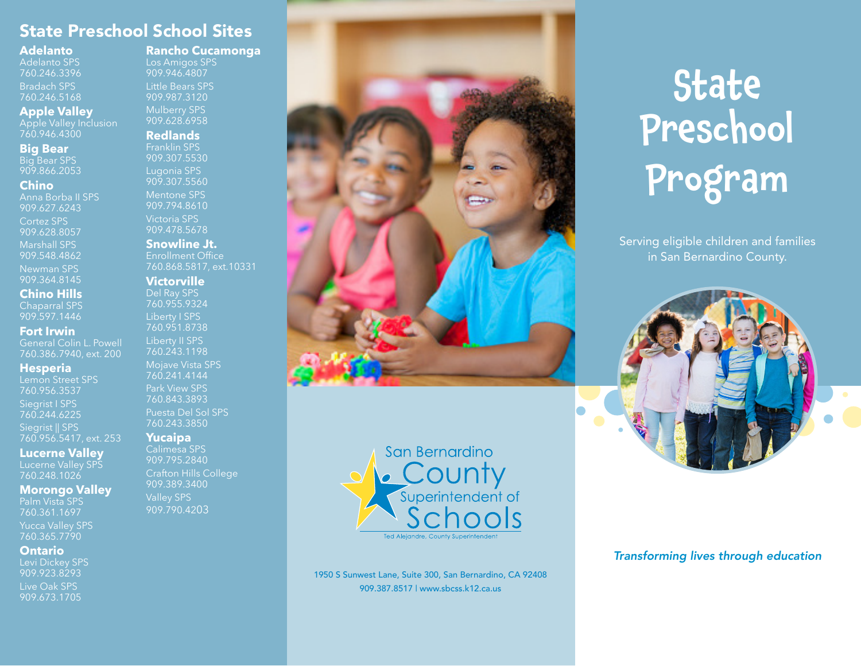### State Preschool School Sites

#### **Adelanto**

Adelanto SPS 760.246.3396 Bradach SPS 760.246.5168

#### **Apple Valley**

Apple Valley Inclusion 760.946.4300

#### **Big Bear**

Big Bear SPS 909.866.2053

#### **Chino**

Anna Borba II SPS 909.627.6243 Cortez SPS 909.628.8057 Marshall SPS 909.548.4862

Newman SPS 909.364.8145

#### **Chino Hills**

Chaparral SPS 909.597.1446

#### **Fort Irwin**

General Colin L. Powell 760.386.7940, ext. 200

#### **Hesperia**

Lemon Street SPS 760.956.3537 Siegrist I SPS 760.244.6225

Siegrist || SPS 760.956.5417, ext. 253

#### **Lucerne Valley**

Lucerne Valley SPS 760.248.1026

#### **Morongo Valley**

Palm Vista SPS 760.361.1697 Yucca Valley SPS 760.365.7790

#### **Ontario**

909.923.8293 Live Oak SPS 909.673.1705

#### **Rancho Cucamonga**

Los Amigos SPS 909.946.4807 Little Bears SPS 909.987.3120 Mulberry SPS 909.628.6958

#### **Redlands**

Franklin SPS 909.307.5530 Lugonia SPS 909.307.5560 Mentone SPS 909.794.8610 Victoria SPS 909.478.5678

#### **Snowline Jt.**

Enrollment Office 760.868.5817, ext.10331

#### **Victorville**

760.955.9324 Liberty I SPS 760.951.8738 Liberty II SPS 760.243.1198 Mojave Vista SPS 760.241.4144 Park View SPS 760.843.3893 Puesta Del Sol SPS 760.243.3850

#### **Yucaipa**

Calimesa SPS 909.795.2840 Crafton Hills College 909.389.3400 909.790.4203





1950 S Sunwest Lane, Suite 300, San Bernardino, CA 92408 909.387.8517 | www.sbcss.k12.ca.us.

# **State** Preschool Program

Serving eligible children and families in San Bernardino County.



#### *Transforming lives through education*